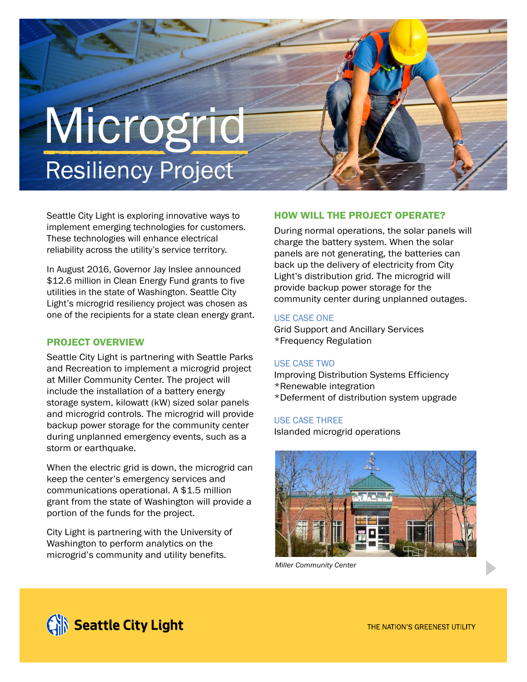# Microgrid **Resiliency Project**

Seattle City Light is exploring innovative ways to implement emerging technologies for customers. These technologies will enhance electrical reliability across the utility's service territory.

In August 2016, Governor Jay Inslee announced \$12.6 million in Clean Energy Fund grants to five utilities in the state of Washington. Seattle City Light's microgrid resiliency project was chosen as one of the recipients for a state clean energy grant.

# PROJECT OVERVIEW

Seattle City Light is partnering with Seattle Parks and Recreation to implement a microgrid project at Miller Community Center. The project will include the installation of a battery energy storage system, kilowatt (kW) sized solar panels and microgrid controls. The microgrid will provide backup power storage for the community center during unplanned emergency events, such as a storm or earthquake.

When the electric grid is down, the microgrid can keep the center's emergency services and communications operational. A \$1.5 million grant from the state of Washington will provide a portion of the funds for the project.

City Light is partnering with the University of Washington to perform analytics on the microgrid's community and utility benefits.

# HOW WILL THE PROJECT OPERATE?

During normal operations, the solar panels will charge the battery system. When the solar panels are not generating, the batteries can back up the delivery of electricity from City Light's distribution grid. The microgrid will provide backup power storage for the community center during unplanned outages.

## USE CASE ONE

Grid Support and Ancillary Services \*Frequency Regulation

### USE CASE TWO

Improving Distribution Systems Efficiency \*Renewable integration \*Deferment of distribution system upgrade

### USE CASE THREE

Islanded microgrid operations



*Miller Community Center*